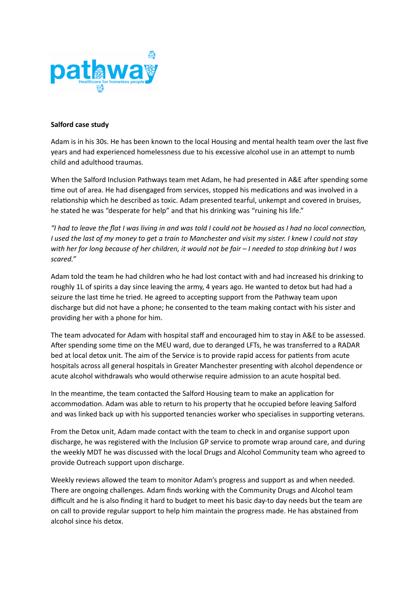

## **Salford case study**

Adam is in his 30s. He has been known to the local Housing and mental health team over the last five years and had experienced homelessness due to his excessive alcohol use in an attempt to numb child and adulthood traumas.

When the Salford Inclusion Pathways team met Adam, he had presented in A&E after spending some time out of area. He had disengaged from services, stopped his medications and was involved in a relationship which he described as toxic. Adam presented tearful, unkempt and covered in bruises, he stated he was "desperate for help" and that his drinking was "ruining his life."

*"I had to leave the flat I was living in and was told I could not be housed as I had no local connection, I used the last of my money to get a train to Manchester and visit my sister. I knew I could not stay with her for long because of her children, it would not be fair – I needed to stop drinking but I was scared."*

Adam told the team he had children who he had lost contact with and had increased his drinking to roughly 1L of spirits a day since leaving the army, 4 years ago. He wanted to detox but had had a seizure the last time he tried. He agreed to accepting support from the Pathway team upon discharge but did not have a phone; he consented to the team making contact with his sister and providing her with a phone for him.

The team advocated for Adam with hospital staff and encouraged him to stay in A&E to be assessed. After spending some time on the MEU ward, due to deranged LFTs, he was transferred to a RADAR bed at local detox unit. The aim of the Service is to provide rapid access for patients from acute hospitals across all general hospitals in Greater Manchester presenting with alcohol dependence or acute alcohol withdrawals who would otherwise require admission to an acute hospital bed.

In the meantime, the team contacted the Salford Housing team to make an application for accommodation. Adam was able to return to his property that he occupied before leaving Salford and was linked back up with his supported tenancies worker who specialises in supporting veterans.

From the Detox unit, Adam made contact with the team to check in and organise support upon discharge, he was registered with the Inclusion GP service to promote wrap around care, and during the weekly MDT he was discussed with the local Drugs and Alcohol Community team who agreed to provide Outreach support upon discharge.

Weekly reviews allowed the team to monitor Adam's progress and support as and when needed. There are ongoing challenges. Adam finds working with the Community Drugs and Alcohol team difficult and he is also finding it hard to budget to meet his basic day-to day needs but the team are on call to provide regular support to help him maintain the progress made. He has abstained from alcohol since his detox.